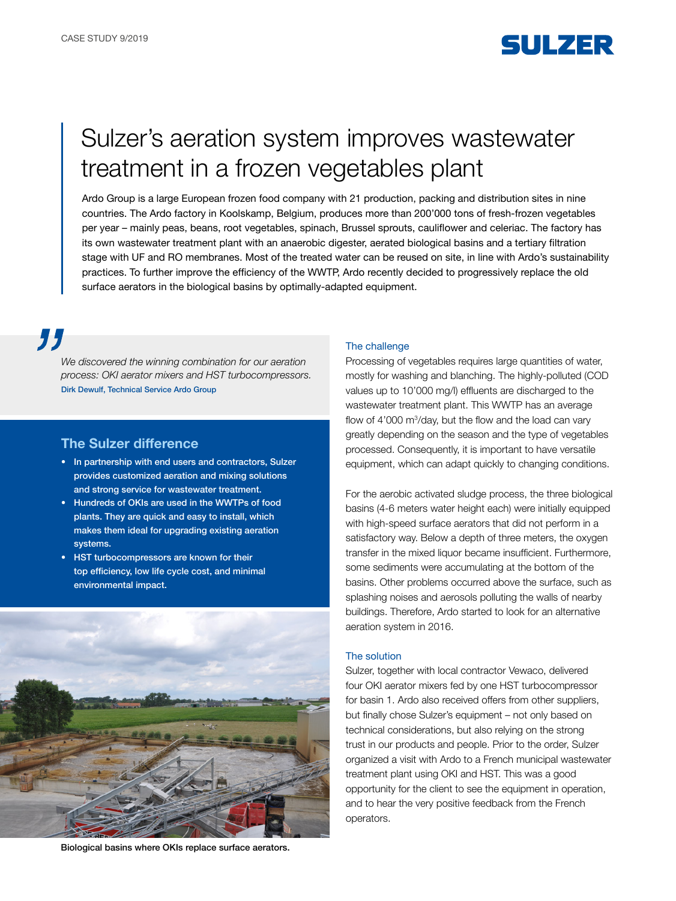

# Sulzer's aeration system improves wastewater treatment in a frozen vegetables plant

Ardo Group is a large European frozen food company with 21 production, packing and distribution sites in nine countries. The Ardo factory in Koolskamp, Belgium, produces more than 200'000 tons of fresh-frozen vegetables per year – mainly peas, beans, root vegetables, spinach, Brussel sprouts, cauliflower and celeriac. The factory has its own wastewater treatment plant with an anaerobic digester, aerated biological basins and a tertiary filtration stage with UF and RO membranes. Most of the treated water can be reused on site, in line with Ardo's sustainability practices. To further improve the efficiency of the WWTP, Ardo recently decided to progressively replace the old surface aerators in the biological basins by optimally-adapted equipment.

77

*We discovered the winning combination for our aeration process: OKI aerator mixers and HST turbocompressors.*  Dirk Dewulf, Technical Service Ardo Group

# The Sulzer difference

- In partnership with end users and contractors, Sulzer provides customized aeration and mixing solutions and strong service for wastewater treatment.
- Hundreds of OKIs are used in the WWTPs of food plants. They are quick and easy to install, which makes them ideal for upgrading existing aeration systems.
- HST turbocompressors are known for their top efficiency, low life cycle cost, and minimal environmental impact.



Biological basins where OKIs replace surface aerators.

#### The challenge

Processing of vegetables requires large quantities of water, mostly for washing and blanching. The highly-polluted (COD values up to 10'000 mg/l) effluents are discharged to the wastewater treatment plant. This WWTP has an average flow of  $4'000 \text{ m}^3$ /day, but the flow and the load can vary greatly depending on the season and the type of vegetables processed. Consequently, it is important to have versatile equipment, which can adapt quickly to changing conditions.

For the aerobic activated sludge process, the three biological basins (4-6 meters water height each) were initially equipped with high-speed surface aerators that did not perform in a satisfactory way. Below a depth of three meters, the oxygen transfer in the mixed liquor became insufficient. Furthermore, some sediments were accumulating at the bottom of the basins. Other problems occurred above the surface, such as splashing noises and aerosols polluting the walls of nearby buildings. Therefore, Ardo started to look for an alternative aeration system in 2016.

#### The solution

Sulzer, together with local contractor Vewaco, delivered four OKI aerator mixers fed by one HST turbocompressor for basin 1. Ardo also received offers from other suppliers, but finally chose Sulzer's equipment – not only based on technical considerations, but also relying on the strong trust in our products and people. Prior to the order, Sulzer organized a visit with Ardo to a French municipal wastewater treatment plant using OKI and HST. This was a good opportunity for the client to see the equipment in operation, and to hear the very positive feedback from the French operators.